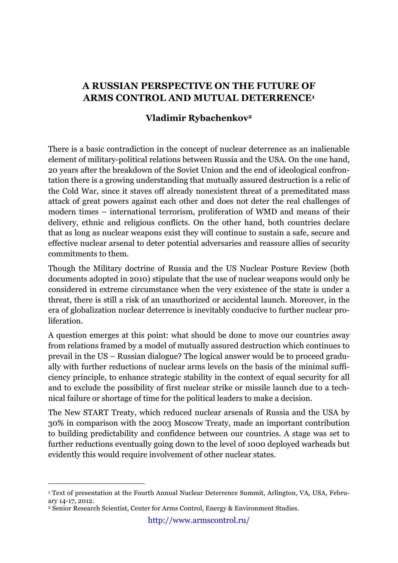## **A RUSSIAN PERSPECTIVE ON THE FUTURE OF ARMS CONTROL AND MUTUAL DETERRENCE1**

## **Vladimir Rybachenkov2**

There is a basic contradiction in the concept of nuclear deterrence as an inalienable element of military-political relations between Russia and the USA. On the one hand, 20 years after the breakdown of the Soviet Union and the end of ideological confrontation there is a growing understanding that mutually assured destruction is a relic of the Cold War, since it staves off already nonexistent threat of a premeditated mass attack of great powers against each other and does not deter the real challenges of modern times – international terrorism, proliferation of WMD and means of their delivery, ethnic and religious conflicts. On the other hand, both countries declare that as long as nuclear weapons exist they will continue to sustain a safe, secure and effective nuclear arsenal to deter potential adversaries and reassure allies of security commitments to them.

Though the Military doctrine of Russia and the US Nuclear Posture Review (both documents adopted in 2010) stipulate that the use of nuclear weapons would only be considered in extreme circumstance when the very existence of the state is under a threat, there is still a risk of an unauthorized or accidental launch. Moreover, in the era of globalization nuclear deterrence is inevitably conducive to further nuclear proliferation.

A question emerges at this point: what should be done to move our countries away from relations framed by a model of mutually assured destruction which continues to prevail in the US – Russian dialogue? The logical answer would be to proceed gradually with further reductions of nuclear arms levels on the basis of the minimal sufficiency principle, to enhance strategic stability in the context of equal security for all and to exclude the possibility of first nuclear strike or missile launch due to a technical failure or shortage of time for the political leaders to make a decision.

The New START Treaty, which reduced nuclear arsenals of Russia and the USA by 30% in comparison with the 2003 Moscow Treaty, made an important contribution to building predictability and confidence between our countries. A stage was set to further reductions eventually going down to the level of 1000 deployed warheads but evidently this would require involvement of other nuclear states.

 <sup>1</sup> Text of presentation at the Fourth Annual Nuclear Deterrence Summit, Arlington, VA, USA, February 14-17, 2012.

<sup>2</sup> Senior Research Scientist, Center for Arms Control, Energy & Environment Studies.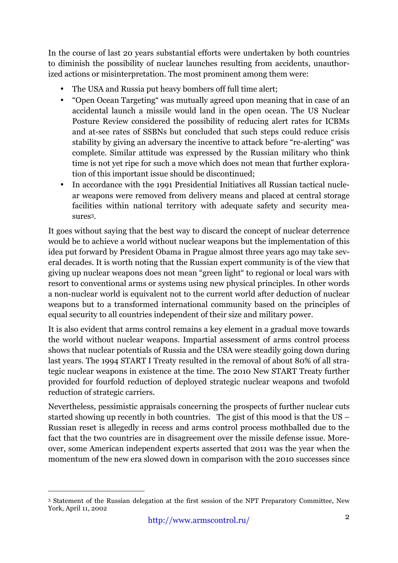In the course of last 20 years substantial efforts were undertaken by both countries to diminish the possibility of nuclear launches resulting from accidents, unauthorized actions or misinterpretation. The most prominent among them were:

- The USA and Russia put heavy bombers off full time alert;
- "Open Ocean Targeting" was mutually agreed upon meaning that in case of an accidental launch a missile would land in the open ocean. The US Nuclear Posture Review considered the possibility of reducing alert rates for ICBMs and at-see rates of SSBNs but concluded that such steps could reduce crisis stability by giving an adversary the incentive to attack before "re-alerting" was complete. Similar attitude was expressed by the Russian military who think time is not yet ripe for such a move which does not mean that further exploration of this important issue should be discontinued;
- In accordance with the 1991 Presidential Initiatives all Russian tactical nuclear weapons were removed from delivery means and placed at central storage facilities within national territory with adequate safety and security measures3.

It goes without saying that the best way to discard the concept of nuclear deterrence would be to achieve a world without nuclear weapons but the implementation of this idea put forward by President Obama in Prague almost three years ago may take several decades. It is worth noting that the Russian expert community is of the view that giving up nuclear weapons does not mean "green light" to regional or local wars with resort to conventional arms or systems using new physical principles. In other words a non-nuclear world is equivalent not to the current world after deduction of nuclear weapons but to a transformed international community based on the principles of equal security to all countries independent of their size and military power.

It is also evident that arms control remains a key element in a gradual move towards the world without nuclear weapons. Impartial assessment of arms control process shows that nuclear potentials of Russia and the USA were steadily going down during last years. The 1994 START I Treaty resulted in the removal of about 80% of all strategic nuclear weapons in existence at the time. The 2010 New START Treaty further provided for fourfold reduction of deployed strategic nuclear weapons and twofold reduction of strategic carriers.

Nevertheless, pessimistic appraisals concerning the prospects of further nuclear cuts started showing up recently in both countries. The gist of this mood is that the US – Russian reset is allegedly in recess and arms control process mothballed due to the fact that the two countries are in disagreement over the missile defense issue. Moreover, some American independent experts asserted that 2011 was the year when the momentum of the new era slowed down in comparison with the 2010 successes since

 <sup>3</sup> Statement of the Russian delegation at the first session of the NPT Preparatory Committee, New York, April 11, 2002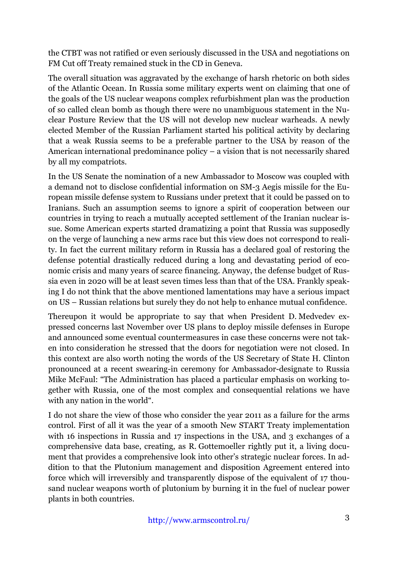the CTBT was not ratified or even seriously discussed in the USA and negotiations on FM Cut off Treaty remained stuck in the CD in Geneva.

The overall situation was aggravated by the exchange of harsh rhetoric on both sides of the Atlantic Ocean. In Russia some military experts went on claiming that one of the goals of the US nuclear weapons complex refurbishment plan was the production of so called clean bomb as though there were no unambiguous statement in the Nuclear Posture Review that the US will not develop new nuclear warheads. A newly elected Member of the Russian Parliament started his political activity by declaring that a weak Russia seems to be a preferable partner to the USA by reason of the American international predominance policy – a vision that is not necessarily shared by all my compatriots.

In the US Senate the nomination of a new Ambassador to Moscow was coupled with a demand not to disclose confidential information on SM-3 Aegis missile for the European missile defense system to Russians under pretext that it could be passed on to Iranians. Such an assumption seems to ignore a spirit of cooperation between our countries in trying to reach a mutually accepted settlement of the Iranian nuclear issue. Some American experts started dramatizing a point that Russia was supposedly on the verge of launching a new arms race but this view does not correspond to reality. In fact the current military reform in Russia has a declared goal of restoring the defense potential drastically reduced during a long and devastating period of economic crisis and many years of scarce financing. Anyway, the defense budget of Russia even in 2020 will be at least seven times less than that of the USA. Frankly speaking I do not think that the above mentioned lamentations may have a serious impact on US – Russian relations but surely they do not help to enhance mutual confidence.

Thereupon it would be appropriate to say that when President D. Medvedev expressed concerns last November over US plans to deploy missile defenses in Europe and announced some eventual countermeasures in case these concerns were not taken into consideration he stressed that the doors for negotiation were not closed. In this context are also worth noting the words of the US Secretary of State H. Clinton pronounced at a recent swearing-in ceremony for Ambassador-designate to Russia Mike McFaul: "The Administration has placed a particular emphasis on working together with Russia, one of the most complex and consequential relations we have with any nation in the world".

I do not share the view of those who consider the year 2011 as a failure for the arms control. First of all it was the year of a smooth New START Treaty implementation with 16 inspections in Russia and 17 inspections in the USA, and 3 exchanges of a comprehensive data base, creating, as R. Gottemoeller rightly put it, a living document that provides a comprehensive look into other's strategic nuclear forces. In addition to that the Plutonium management and disposition Agreement entered into force which will irreversibly and transparently dispose of the equivalent of 17 thousand nuclear weapons worth of plutonium by burning it in the fuel of nuclear power plants in both countries.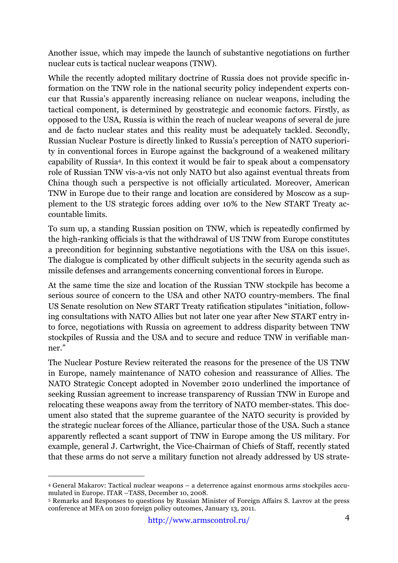Another issue, which may impede the launch of substantive negotiations on further nuclear cuts is tactical nuclear weapons (TNW).

While the recently adopted military doctrine of Russia does not provide specific information on the TNW role in the national security policy independent experts concur that Russia's apparently increasing reliance on nuclear weapons, including the tactical component, is determined by geostrategic and economic factors. Firstly, as opposed to the USA, Russia is within the reach of nuclear weapons of several de jure and de facto nuclear states and this reality must be adequately tackled. Secondly, Russian Nuclear Posture is directly linked to Russia's perception of NATO superiority in conventional forces in Europe against the background of a weakened military capability of Russia4. In this context it would be fair to speak about a compensatory role of Russian TNW vis-a-vis not only NATO but also against eventual threats from China though such a perspective is not officially articulated. Moreover, American TNW in Europe due to their range and location are considered by Moscow as a supplement to the US strategic forces adding over 10% to the New START Treaty accountable limits.

To sum up, a standing Russian position on TNW, which is repeatedly confirmed by the high-ranking officials is that the withdrawal of US TNW from Europe constitutes a precondition for beginning substantive negotiations with the USA on this issue5. The dialogue is complicated by other difficult subjects in the security agenda such as missile defenses and arrangements concerning conventional forces in Europe.

At the same time the size and location of the Russian TNW stockpile has become a serious source of concern to the USA and other NATO country-members. The final US Senate resolution on New START Treaty ratification stipulates "initiation, following consultations with NATO Allies but not later one year after New START entry into force, negotiations with Russia on agreement to address disparity between TNW stockpiles of Russia and the USA and to secure and reduce TNW in verifiable manner."

The Nuclear Posture Review reiterated the reasons for the presence of the US TNW in Europe, namely maintenance of NATO cohesion and reassurance of Allies. The NATO Strategic Concept adopted in November 2010 underlined the importance of seeking Russian agreement to increase transparency of Russian TNW in Europe and relocating these weapons away from the territory of NATO member-states. This document also stated that the supreme guarantee of the NATO security is provided by the strategic nuclear forces of the Alliance, particular those of the USA. Such a stance apparently reflected a scant support of TNW in Europe among the US military. For example, general J. Cartwright, the Vice-Chairman of Chiefs of Staff, recently stated that these arms do not serve a military function not already addressed by US strate-

 <sup>4</sup> General Makarov: Tactical nuclear weapons – <sup>a</sup> deterrence against enormous arms stockpiles accumulated in Europe. ITAR –TASS, December 10, 2008.

<sup>5</sup> Remarks and Responses to questions by Russian Minister of Foreign Affairs S. Lavrov at the press conference at MFA on 2010 foreign policy outcomes, January 13, 2011.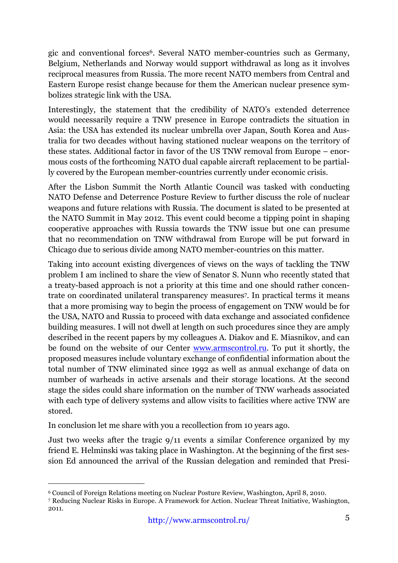gic and conventional forces6. Several NATO member-countries such as Germany, Belgium, Netherlands and Norway would support withdrawal as long as it involves reciprocal measures from Russia. The more recent NATO members from Central and Eastern Europe resist change because for them the American nuclear presence symbolizes strategic link with the USA.

Interestingly, the statement that the credibility of NATO's extended deterrence would necessarily require a TNW presence in Europe contradicts the situation in Asia: the USA has extended its nuclear umbrella over Japan, South Korea and Australia for two decades without having stationed nuclear weapons on the territory of these states. Additional factor in favor of the US TNW removal from Europe – enormous costs of the forthcoming NATO dual capable aircraft replacement to be partially covered by the European member-countries currently under economic crisis.

After the Lisbon Summit the North Atlantic Council was tasked with conducting NATO Defense and Deterrence Posture Review to further discuss the role of nuclear weapons and future relations with Russia. The document is slated to be presented at the NATO Summit in May 2012. This event could become a tipping point in shaping cooperative approaches with Russia towards the TNW issue but one can presume that no recommendation on TNW withdrawal from Europe will be put forward in Chicago due to serious divide among NATO member-countries on this matter.

Taking into account existing divergences of views on the ways of tackling the TNW problem I am inclined to share the view of Senator S. Nunn who recently stated that a treaty-based approach is not a priority at this time and one should rather concentrate on coordinated unilateral transparency measures7. In practical terms it means that a more promising way to begin the process of engagement on TNW would be for the USA, NATO and Russia to proceed with data exchange and associated confidence building measures. I will not dwell at length on such procedures since they are amply described in the recent papers by my colleagues A. Diakov and E. Miasnikov, and can be found on the website of our Center www.armscontrol.ru. To put it shortly, the proposed measures include voluntary exchange of confidential information about the total number of TNW eliminated since 1992 as well as annual exchange of data on number of warheads in active arsenals and their storage locations. At the second stage the sides could share information on the number of TNW warheads associated with each type of delivery systems and allow visits to facilities where active TNW are stored.

In conclusion let me share with you a recollection from 10 years ago.

Just two weeks after the tragic 9/11 events a similar Conference organized by my friend E. Helminski was taking place in Washington. At the beginning of the first session Ed announced the arrival of the Russian delegation and reminded that Presi-

 <sup>6</sup> Council of Foreign Relations meeting on Nuclear Posture Review, Washington, April 8, 2010.

<sup>7</sup> Reducing Nuclear Risks in Europe. A Framework for Action. Nuclear Threat Initiative, Washington, 2011.